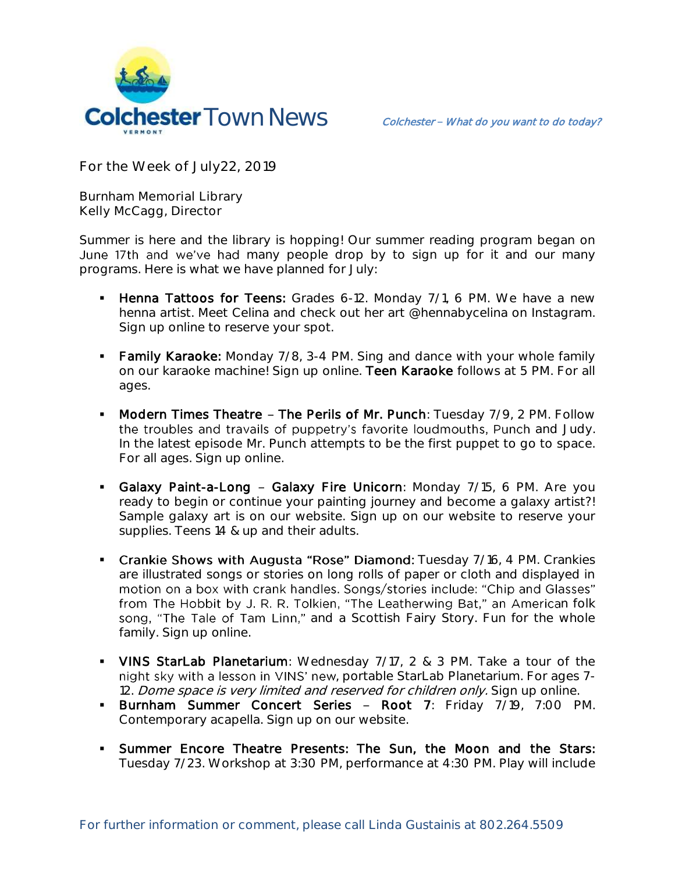

**For the Week of July22, 2019**

**Burnham Memorial Library Kelly McCagg, Director**

Summer is here and the library is hopping! Our summer reading program began on June 17th and we've had many people drop by to sign up for it and our many programs. Here is what we have planned for July:

- Henna Tattoos for Teens: Grades 6-12. Monday 7/1, 6 PM. We have a new henna artist. Meet Celina and check out her art @hennabycelina on Instagram. Sign up online to reserve your spot.
- **Family Karaoke:** Monday 7/8, 3-4 PM. Sing and dance with your whole family on our karaoke machine! Sign up online. Teen Karaoke follows at 5 PM. For all ages.
- Modern Times Theatre The Perils of Mr. Punch: Tuesday 7/9, 2 PM. Follow the troubles and travails of puppetry's favorite loudmouths, Punch and Judy. In the latest episode Mr. Punch attempts to be the first puppet to go to space. For all ages. Sign up online.
- Galaxy Paint-a-Long Galaxy Fire Unicorn: Monday 7/15, 6 PM. Are you ready to begin or continue your painting journey and become a galaxy artist?! Sample galaxy art is on our website. Sign up on our website to reserve your supplies. Teens 14 & up and their adults.
- **Crankie Shows with Augusta "Rose" Diamond:** Tuesday 7/16, 4 PM. Crankies are illustrated songs or stories on long rolls of paper or cloth and displayed in motion on a box with crank handles. Songs/stories include: "Chip and Glasses" from The Hobbit by J. R. R. Tolkien, "The Leatherwing Bat," an American folk song, "The Tale of Tam Linn," and a Scottish Fairy Story. Fun for the whole family. Sign up online.
- VINS StarLab Planetarium: Wednesday 7/17, 2 & 3 PM. Take a tour of the night sky with a lesson in VINS' new, portable StarLab Planetarium. For ages 7-12. Dome space is very limited and reserved for children only. Sign up online.
- **Burnham Summer Concert Series Root 7: Friday 7/19, 7:00 PM.** Contemporary acapella. Sign up on our website.
- Summer Encore Theatre Presents: The Sun, the Moon and the Stars: Tuesday 7/23. Workshop at 3:30 PM, performance at 4:30 PM. Play will include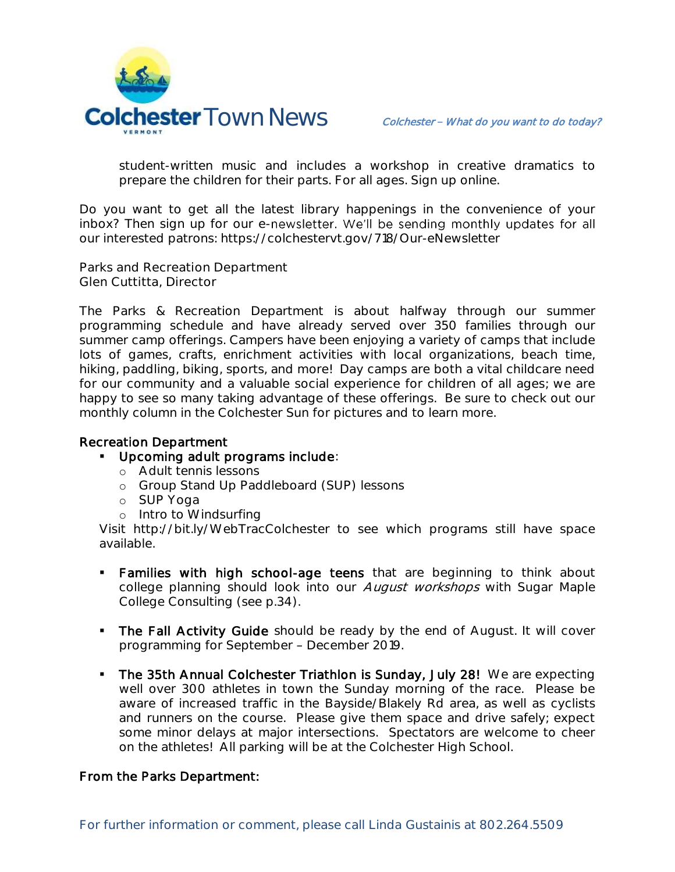

student-written music and includes a workshop in creative dramatics to prepare the children for their parts. For all ages. Sign up online.

Do you want to get all the latest library happenings in the convenience of your inbox? Then sign up for our e-newsletter. We'll be sending monthly updates for all our interested patrons: https://colchestervt.gov/718/Our-eNewsletter

**Parks and Recreation Department Glen Cuttitta, Director**

The Parks & Recreation Department is about halfway through our summer programming schedule and have already served over 350 families through our summer camp offerings. Campers have been enjoying a variety of camps that include lots of games, crafts, enrichment activities with local organizations, beach time, hiking, paddling, biking, sports, and more! Day camps are both a vital childcare need for our community and a valuable social experience for children of all ages; we are happy to see so many taking advantage of these offerings. Be sure to check out our monthly column in the Colchester Sun for pictures and to learn more.

## Recreation Department

- **Upcoming adult programs include:** 
	- o Adult tennis lessons
	- o Group Stand Up Paddleboard (SUP) lessons
	- o SUP Yoga
	- o Intro to Windsurfing

Visit http://bit.ly/WebTracColchester to see which programs still have space available.

- Families with high school-age teens that are beginning to think about college planning should look into our August workshops with Sugar Maple College Consulting (see p.34).
- **The Fall Activity Guide** should be ready by the end of August. It will cover programming for September - December 2019.
- **The 35th Annual Colchester Triathlon is Sunday, July 28!** We are expecting well over 300 athletes in town the Sunday morning of the race. Please be aware of increased traffic in the Bayside/Blakely Rd area, as well as cyclists and runners on the course. Please give them space and drive safely; expect some minor delays at major intersections. Spectators are welcome to cheer on the athletes! All parking will be at the Colchester High School.

## From the Parks Department: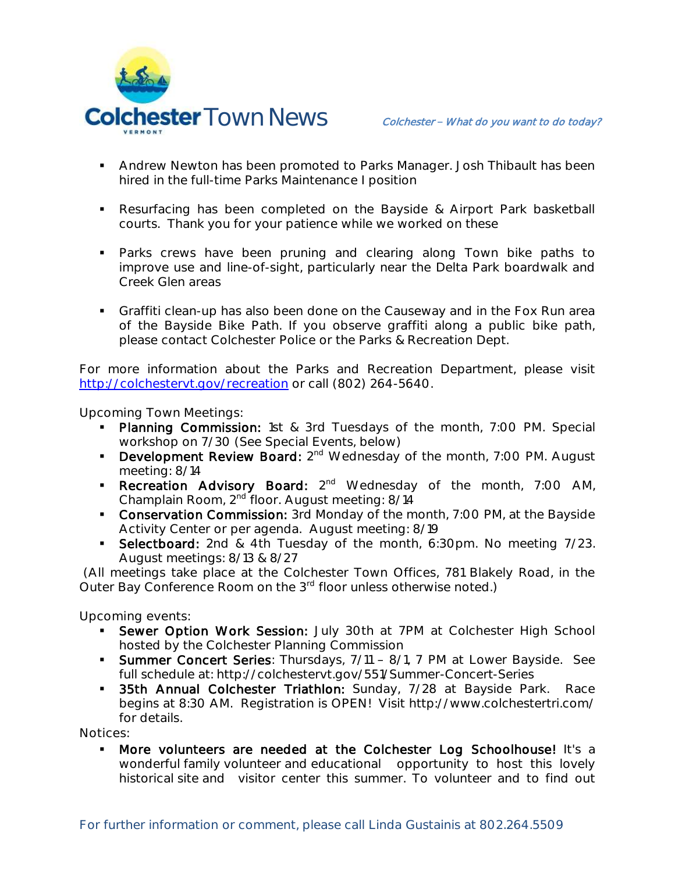

- Andrew Newton has been promoted to Parks Manager. Josh Thibault has been hired in the full-time Parks Maintenance I position
- Resurfacing has been completed on the Bayside & Airport Park basketball courts. Thank you for your patience while we worked on these
- **Parks crews have been pruning and clearing along Town bike paths to** improve use and line-of-sight, particularly near the Delta Park boardwalk and Creek Glen areas
- Graffiti clean-up has also been done on the Causeway and in the Fox Run area of the Bayside Bike Path. If you observe graffiti along a public bike path, please contact Colchester Police or the Parks & Recreation Dept.

For more information about the Parks and Recreation Department, please visit [http://colchestervt.gov/recreation](http://colchestervt.gov/Recreation/parksNRec.shtml) or call (802) 264-5640.

**Upcoming Town Meetings:** 

- Planning Commission: 1st & 3rd Tuesdays of the month, 7:00 PM. Special workshop on 7/30 (See Special Events, below)
- **Development Review Board:**  $2^{nd}$  Wednesday of the month, 7:00 PM. August meeting: 8/14
- **Recreation Advisory Board:**  $2^{nd}$  Wednesday of the month, 7:00 AM, Champlain Room, 2nd floor. August meeting: 8/14
- **Conservation Commission:** 3rd Monday of the month, 7:00 PM, at the Bayside Activity Center or per agenda. August meeting: 8/19
- Selectboard: 2nd & 4th Tuesday of the month, 6:30pm. No meeting 7/23. August meetings: 8/13 & 8/27

(All meetings take place at the Colchester Town Offices, 781 Blakely Road, in the Outer Bay Conference Room on the 3<sup>rd</sup> floor unless otherwise noted.)

**Upcoming events:** 

- **Sewer Option Work Session:** July 30th at 7PM at Colchester High School hosted by the Colchester Planning Commission
- Summer Concert Series: Thursdays, 7/11 8/1, 7 PM at Lower Bayside. See full schedule at: http://colchestervt.gov/551/Summer-Concert-Series
- 35th Annual Colchester Triathlon: Sunday, 7/28 at Bayside Park. Race begins at 8:30 AM. Registration is OPEN! Visit http://www.colchestertri.com/ for details.

**Notices:**

 More volunteers are needed at the Colchester Log Schoolhouse! It's a wonderful family volunteer and educational opportunity to host this lovely historical site and visitor center this summer. To volunteer and to find out